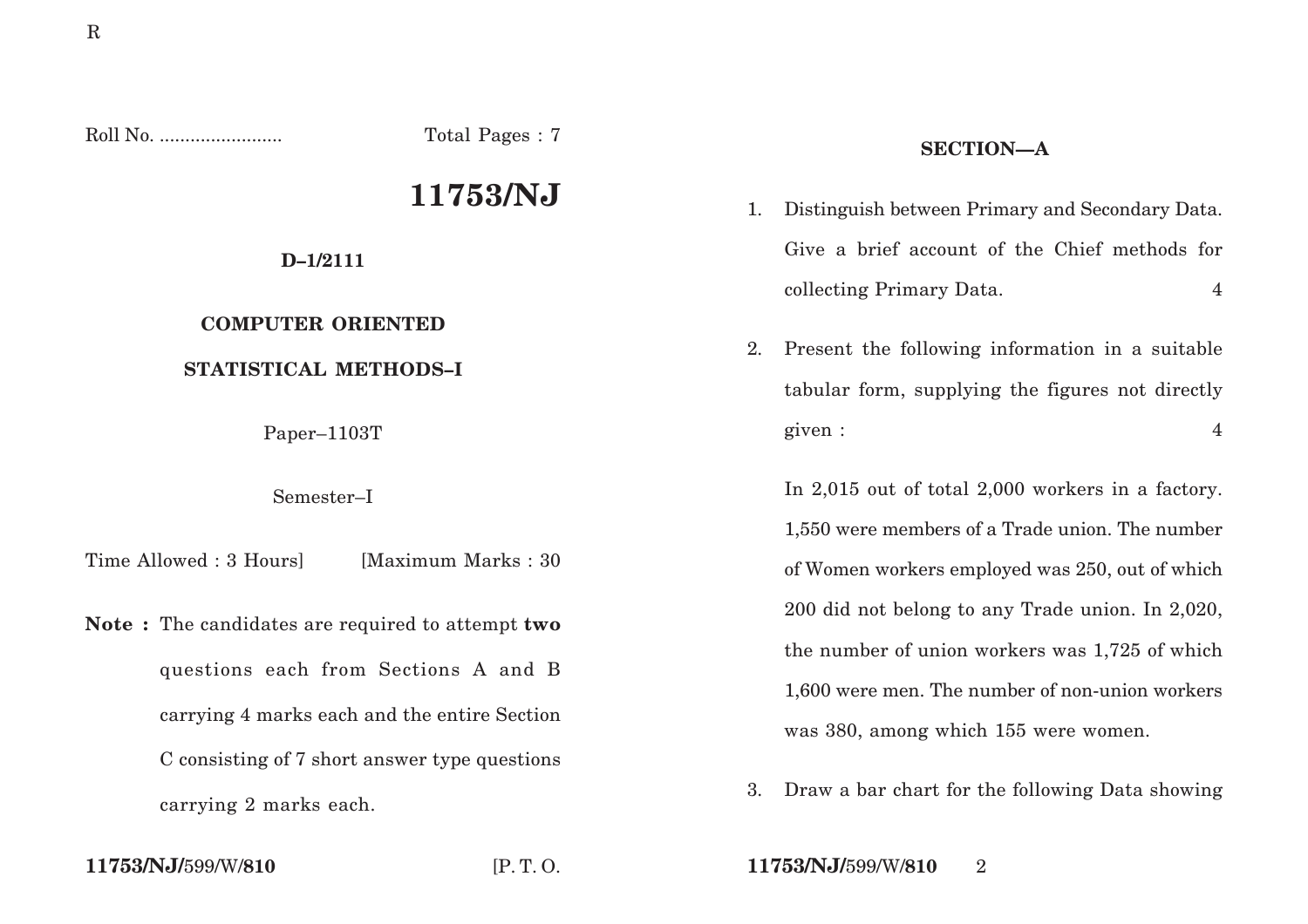Roll No. ........................ Total Pages : 7

# **11753/NJ**

#### **D–1/2111**

## **COMPUTER ORIENTED**

### **STATISTICAL METHODS–I**

Paper–1103T

#### Semester–I

Time Allowed : 3 Hours [Maximum Marks : 30]

**Note :** The candidates are required to attempt **two** questions each from Sections A and B carrying 4 marks each and the entire Section C consisting of 7 short answer type questions carrying 2 marks each.

### **SECTION—A**

- 1. Distinguish between Primary and Secondary Data. Give a brief account of the Chief methods for collecting Primary Data. 4
- 2. Present the following information in a suitable tabular form, supplying the figures not directly given : 4

In 2,015 out of total 2,000 workers in a factory. 1,550 were members of a Trade union. The number of Women workers employed was 250, out of which 200 did not belong to any Trade union. In 2,020, the number of union workers was 1,725 of which 1,600 were men. The number of non-union workers was 380, among which 155 were women.

3. Draw a bar chart for the following Data showing

**11753/NJ/**599/W/**810** [P. T. O. **11753/NJ/**599/W/**810** 2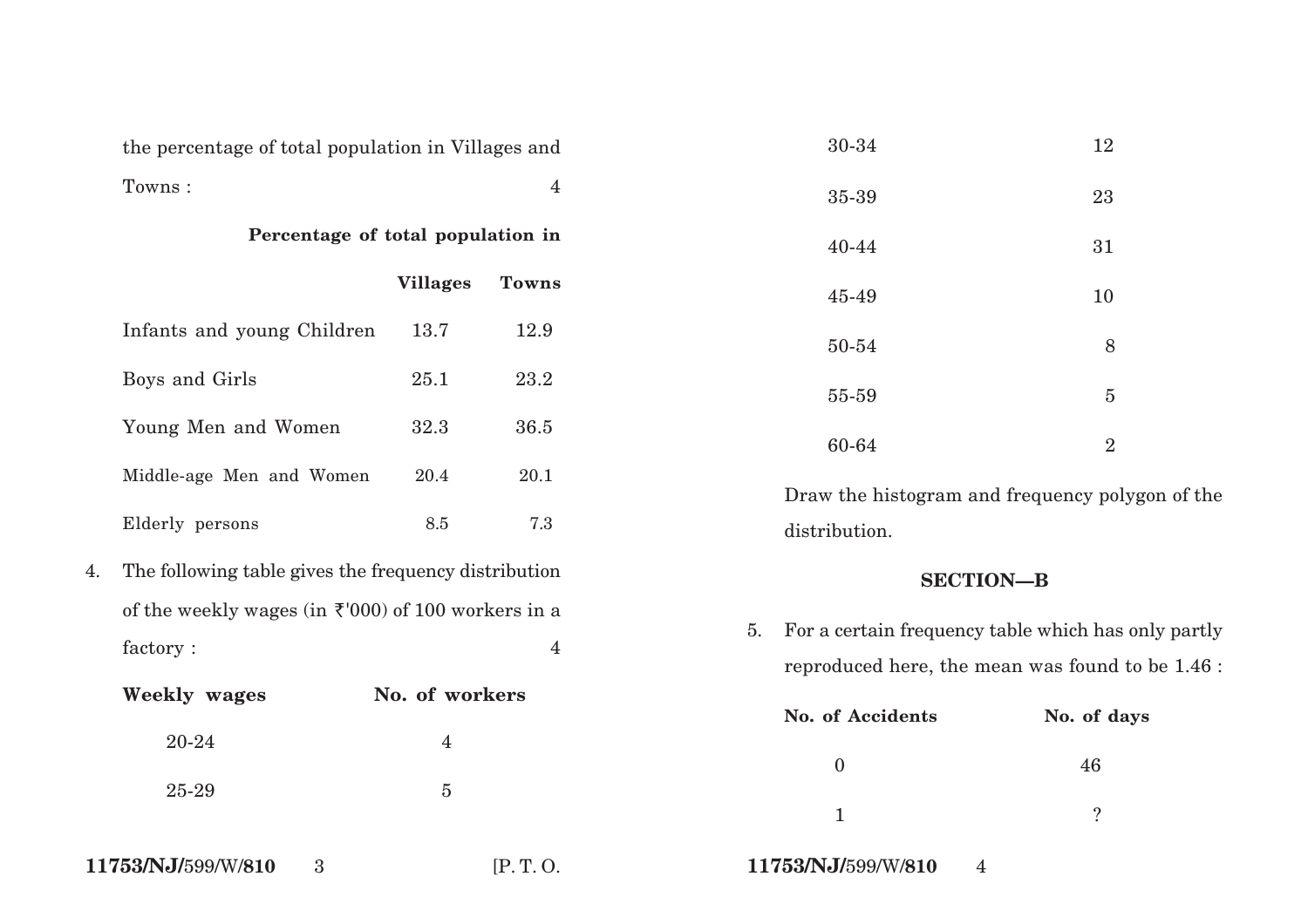|    | the percentage of total population in Villages and                         |                 |                |                                                                                                               | 30-34                                | 12                                              |  |
|----|----------------------------------------------------------------------------|-----------------|----------------|---------------------------------------------------------------------------------------------------------------|--------------------------------------|-------------------------------------------------|--|
|    | Towns:                                                                     |                 | $\overline{4}$ |                                                                                                               | 35-39                                | 23                                              |  |
|    | Percentage of total population in                                          |                 |                |                                                                                                               | 40-44                                | 31                                              |  |
|    |                                                                            | <b>Villages</b> | <b>Towns</b>   |                                                                                                               | 45-49                                | 10                                              |  |
|    | Infants and young Children                                                 | 13.7            | 12.9           |                                                                                                               | 50-54                                | 8                                               |  |
|    | Boys and Girls                                                             | 25.1            | 23.2           |                                                                                                               | 55-59                                | $\overline{5}$                                  |  |
|    | Young Men and Women                                                        | 32.3            | 36.5           |                                                                                                               | 60-64                                | $\overline{2}$                                  |  |
|    | Middle-age Men and Women                                                   | 20.4            | 20.1           |                                                                                                               |                                      | Draw the histogram and frequency polygon of the |  |
|    | Elderly persons                                                            | $\ \, 8.5$      | 7.3            |                                                                                                               | distribution.                        |                                                 |  |
| 4. | The following table gives the frequency distribution                       |                 |                |                                                                                                               |                                      | <b>SECTION-B</b>                                |  |
|    | of the weekly wages (in $\bar{\tau}$ '000) of 100 workers in a<br>factory: |                 | $\overline{4}$ | For a certain frequency table which has only partly<br>5.<br>reproduced here, the mean was found to be 1.46 : |                                      |                                                 |  |
|    | <b>Weekly wages</b>                                                        | No. of workers  |                |                                                                                                               | No. of Accidents                     | No. of days                                     |  |
|    | 20-24                                                                      | $\overline{4}$  |                |                                                                                                               | $\boldsymbol{0}$                     | 46                                              |  |
|    | 25-29                                                                      | $\overline{5}$  |                |                                                                                                               | $\mathbf{1}$                         | $\ddot{?}$                                      |  |
|    | 11753/NJ/599/W/810<br>$\overline{3}$                                       |                 | [P.T.O.        |                                                                                                               | 11753/NJ/599/W/810<br>$\overline{4}$ |                                                 |  |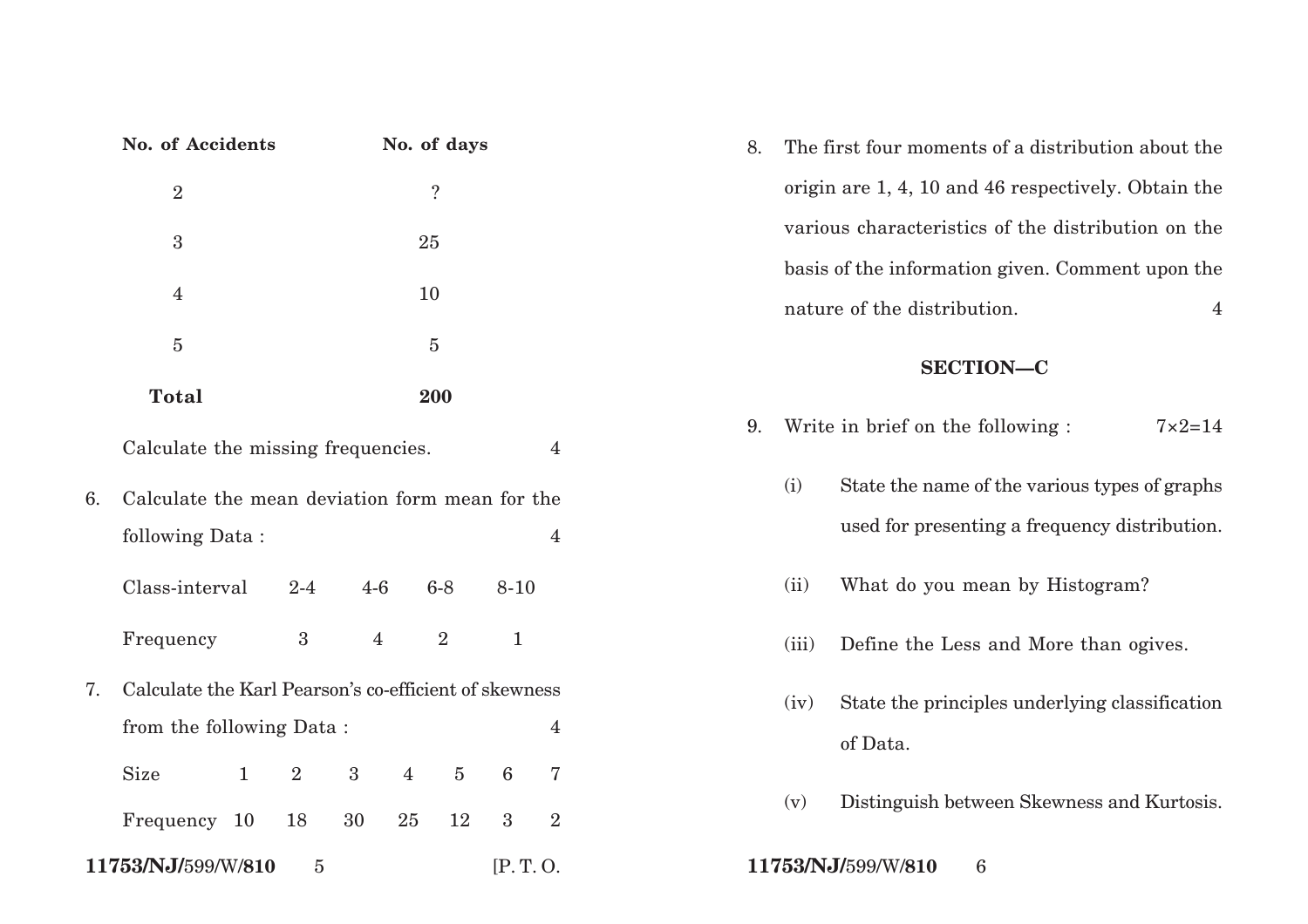|                                                  | <b>No. of Accidents</b><br>No. of days                |                |                  |                |            |                 |                                                        | The first four moments of a distribution about the<br>8.     |
|--------------------------------------------------|-------------------------------------------------------|----------------|------------------|----------------|------------|-----------------|--------------------------------------------------------|--------------------------------------------------------------|
|                                                  | $\ddot{?}$<br>$\sqrt{2}$                              |                |                  |                |            |                 |                                                        | origin are 1, 4, 10 and 46 respectively. Obtain the          |
|                                                  | $\boldsymbol{3}$                                      | 25             |                  |                |            |                 |                                                        | various characteristics of the distribution on the           |
|                                                  |                                                       |                |                  |                |            |                 |                                                        | basis of the information given. Comment upon the             |
|                                                  | 4                                                     |                |                  |                | 10         |                 |                                                        | nature of the distribution.<br>$\overline{4}$                |
| $\bf 5$                                          |                                                       |                |                  | $\overline{5}$ |            |                 |                                                        | <b>SECTION-C</b>                                             |
|                                                  | <b>Total</b>                                          |                |                  |                | 200        |                 |                                                        |                                                              |
|                                                  | Calculate the missing frequencies.                    |                |                  |                |            |                 | $\overline{4}$                                         | Write in brief on the following :<br>$7 \times 2 = 14$<br>9. |
| 6.                                               | Calculate the mean deviation form mean for the        |                |                  |                |            |                 |                                                        | State the name of the various types of graphs<br>(i)         |
|                                                  | following Data:                                       |                |                  |                |            |                 | $\overline{4}$                                         | used for presenting a frequency distribution.                |
|                                                  | Class-interval                                        | $2 - 4$        | $4-6$            |                | $6-8$      | $8 - 10$        |                                                        | What do you mean by Histogram?<br>(ii)                       |
|                                                  | Frequency                                             | $\overline{3}$ | $\overline{4}$   |                | $\sqrt{2}$ | $\mathbf{1}$    |                                                        | Define the Less and More than ogives.<br>(iii)               |
| 7.                                               | Calculate the Karl Pearson's co-efficient of skewness |                |                  |                |            |                 | State the principles underlying classification<br>(iv) |                                                              |
|                                                  | from the following Data:                              |                |                  |                |            |                 | $\overline{\mathbf{4}}$                                | of Data.                                                     |
|                                                  | <b>Size</b><br>$\mathbf{1}$                           | $\overline{2}$ | $\boldsymbol{3}$ | $\overline{4}$ | $\bf 5$    | $6\phantom{.}6$ | $\sqrt{ }$                                             |                                                              |
|                                                  | Frequency 10                                          | 18             | 30               | 25             | 12         | $\overline{3}$  | $\overline{2}$                                         | Distinguish between Skewness and Kurtosis.<br>(v)            |
| 11753/NJ/599/W/810<br>[P.T. 0.<br>$\overline{5}$ |                                                       |                |                  |                |            |                 |                                                        | 11753/NJ/599/W/810<br>$6\phantom{.}6$                        |